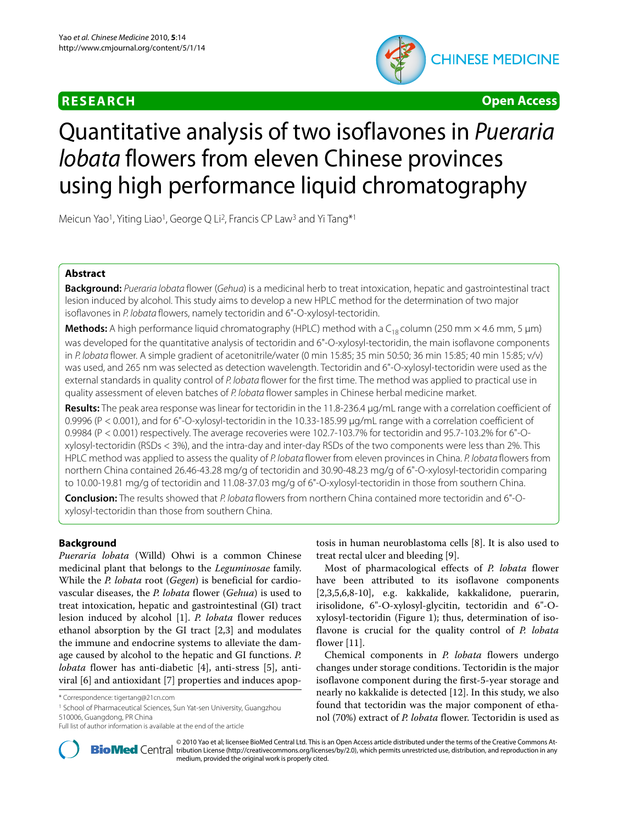

**RESEARCH Open Access**

# Quantitative analysis of two isoflavones in Pueraria lobata flowers from eleven Chinese provinces using high performance liquid chromatography

Meicun Yao<sup>1</sup>, Yiting Liao<sup>1</sup>, George Q Li<sup>2</sup>, Francis CP Law<sup>3</sup> and Yi Tang<sup>\*1</sup>

# **Abstract**

**Background:** Pueraria lobata flower (Gehua) is a medicinal herb to treat intoxication, hepatic and gastrointestinal tract lesion induced by alcohol. This study aims to develop a new HPLC method for the determination of two major isoflavones in P. lobata flowers, namely tectoridin and 6"-O-xylosyl-tectoridin.

**Methods:** A high performance liquid chromatography (HPLC) method with a C<sub>18</sub> column (250 mm × 4.6 mm, 5 μm) was developed for the quantitative analysis of tectoridin and 6"-O-xylosyl-tectoridin, the main isoflavone components in P. lobata flower. A simple gradient of acetonitrile/water (0 min 15:85; 35 min 50:50; 36 min 15:85; 40 min 15:85; v/v) was used, and 265 nm was selected as detection wavelength. Tectoridin and 6"-O-xylosyl-tectoridin were used as the external standards in quality control of P. lobata flower for the first time. The method was applied to practical use in quality assessment of eleven batches of P. lobata flower samples in Chinese herbal medicine market.

**Results:** The peak area response was linear for tectoridin in the 11.8-236.4 μg/mL range with a correlation coefficient of 0.9996 (P < 0.001), and for 6"-O-xylosyl-tectoridin in the 10.33-185.99 μg/mL range with a correlation coefficient of 0.9984 (P < 0.001) respectively. The average recoveries were 102.7-103.7% for tectoridin and 95.7-103.2% for 6"-Oxylosyl-tectoridin (RSDs < 3%), and the intra-day and inter-day RSDs of the two components were less than 2%. This HPLC method was applied to assess the quality of P. lobata flower from eleven provinces in China. P. lobata flowers from northern China contained 26.46-43.28 mg/g of tectoridin and 30.90-48.23 mg/g of 6"-O-xylosyl-tectoridin comparing to 10.00-19.81 mg/g of tectoridin and 11.08-37.03 mg/g of 6"-O-xylosyl-tectoridin in those from southern China.

**Conclusion:** The results showed that P. lobata flowers from northern China contained more tectoridin and 6"-Oxylosyl-tectoridin than those from southern China.

# **Background**

*Pueraria lobata* (Willd) Ohwi is a common Chinese medicinal plant that belongs to the *Leguminosae* family. While the *P. lobata* root (*Gegen*) is beneficial for cardiovascular diseases, the *P. lobata* flower (*Gehua*) is used to treat intoxication, hepatic and gastrointestinal (GI) tract lesion induced by alcohol [[1\]](#page-5-0). *P. lobata* flower reduces ethanol absorption by the GI tract [[2,](#page-5-1)[3](#page-5-2)] and modulates the immune and endocrine systems to alleviate the damage caused by alcohol to the hepatic and GI functions. *P. lobata* flower has anti-diabetic [\[4](#page-5-3)], anti-stress [[5\]](#page-5-4), antiviral [\[6](#page-5-5)] and antioxidant [[7](#page-6-0)] properties and induces apop-

<sup>1</sup> School of Pharmaceutical Sciences, Sun Yat-sen University, Guangzhou 510006, Guangdong, PR China

tosis in human neuroblastoma cells [\[8](#page-6-1)]. It is also used to treat rectal ulcer and bleeding [\[9](#page-6-2)].

Most of pharmacological effects of *P. lobata* flower have been attributed to its isoflavone components [[2,](#page-5-1)[3](#page-5-2)[,5](#page-5-4)[,6](#page-5-5),[8](#page-6-1)[-10\]](#page-6-3), e.g. kakkalide, kakkalidone, puerarin, irisolidone, 6"-O-xylosyl-glycitin, tectoridin and 6"-Oxylosyl-tectoridin (Figure [1\)](#page-1-0); thus, determination of isoflavone is crucial for the quality control of *P. lobata* flower [\[11](#page-6-4)].

Chemical components in *P. lobata* flowers undergo changes under storage conditions. Tectoridin is the major isoflavone component during the first-5-year storage and nearly no kakkalide is detected [\[12\]](#page-6-5). In this study, we also found that tectoridin was the major component of ethanol (70%) extract of *P. lobata* flower. Tectoridin is used as



© 2010 Yao et al; licensee [BioMed](http://www.biomedcentral.com/) Central Ltd. This is an Open Access article distributed under the terms of the Creative Commons At-<br>**Bio Med** Central tribution License (http://creativecommons.org/licenses/by/2.0), which medium, provided the original work is properly cited.

<sup>\*</sup> Correspondence: tigertang@21cn.com

Full list of author information is available at the end of the article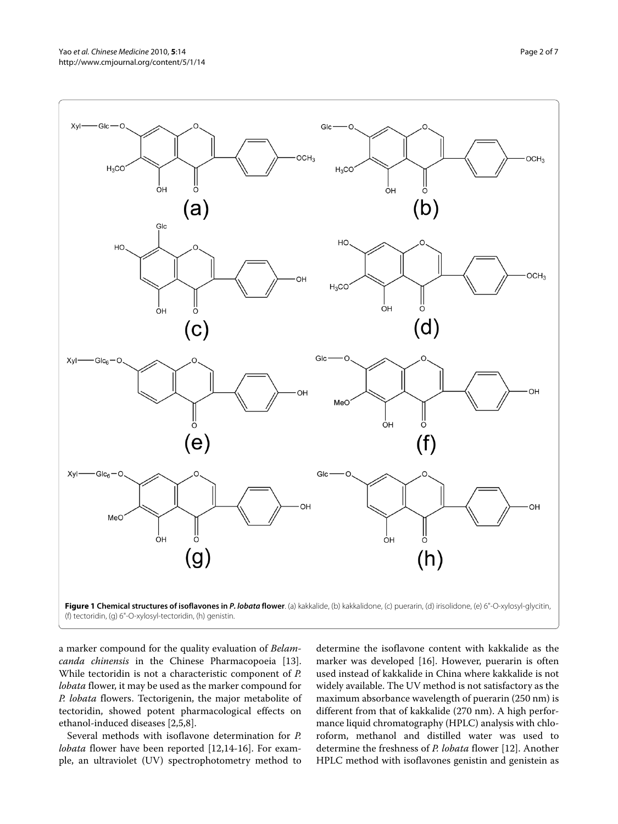<span id="page-1-0"></span>

a marker compound for the quality evaluation of *Belamcanda chinensis* in the Chinese Pharmacopoeia [\[13](#page-6-6)]. While tectoridin is not a characteristic component of *P. lobata* flower, it may be used as the marker compound for *P. lobata* flowers. Tectorigenin, the major metabolite of tectoridin, showed potent pharmacological effects on ethanol-induced diseases [[2,](#page-5-1)[5,](#page-5-4)[8\]](#page-6-1).

Several methods with isoflavone determination for *P. lobata* flower have been reported [[12](#page-6-5),[14-](#page-6-7)[16](#page-6-8)]. For example, an ultraviolet (UV) spectrophotometry method to determine the isoflavone content with kakkalide as the marker was developed [\[16](#page-6-8)]. However, puerarin is often used instead of kakkalide in China where kakkalide is not widely available. The UV method is not satisfactory as the maximum absorbance wavelength of puerarin (250 nm) is different from that of kakkalide (270 nm). A high performance liquid chromatography (HPLC) analysis with chloroform, methanol and distilled water was used to determine the freshness of *P. lobata* flower [\[12](#page-6-5)]. Another HPLC method with isoflavones genistin and genistein as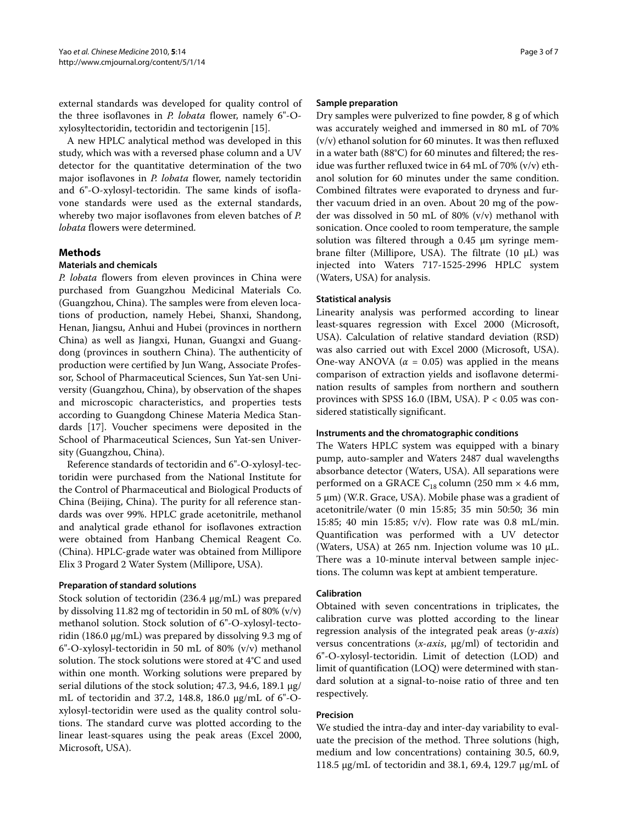external standards was developed for quality control of the three isoflavones in *P. lobata* flower, namely 6"-Oxylosyltectoridin, tectoridin and tectorigenin [\[15\]](#page-6-9).

A new HPLC analytical method was developed in this study, which was with a reversed phase column and a UV detector for the quantitative determination of the two major isoflavones in *P. lobata* flower, namely tectoridin and 6"-O-xylosyl-tectoridin. The same kinds of isoflavone standards were used as the external standards, whereby two major isoflavones from eleven batches of *P. lobata* flowers were determined.

# **Methods**

#### **Materials and chemicals**

*P. lobata* flowers from eleven provinces in China were purchased from Guangzhou Medicinal Materials Co. (Guangzhou, China). The samples were from eleven locations of production, namely Hebei, Shanxi, Shandong, Henan, Jiangsu, Anhui and Hubei (provinces in northern China) as well as Jiangxi, Hunan, Guangxi and Guangdong (provinces in southern China). The authenticity of production were certified by Jun Wang, Associate Professor, School of Pharmaceutical Sciences, Sun Yat-sen University (Guangzhou, China), by observation of the shapes and microscopic characteristics, and properties tests according to Guangdong Chinese Materia Medica Standards [\[17](#page-6-10)]. Voucher specimens were deposited in the School of Pharmaceutical Sciences, Sun Yat-sen University (Guangzhou, China).

Reference standards of tectoridin and 6"-O-xylosyl-tectoridin were purchased from the National Institute for the Control of Pharmaceutical and Biological Products of China (Beijing, China). The purity for all reference standards was over 99%. HPLC grade acetonitrile, methanol and analytical grade ethanol for isoflavones extraction were obtained from Hanbang Chemical Reagent Co. (China). HPLC-grade water was obtained from Millipore Elix 3 Progard 2 Water System (Millipore, USA).

#### **Preparation of standard solutions**

Stock solution of tectoridin (236.4 μg/mL) was prepared by dissolving 11.82 mg of tectoridin in 50 mL of 80% (v/v) methanol solution. Stock solution of 6"-O-xylosyl-tectoridin (186.0 μg/mL) was prepared by dissolving 9.3 mg of 6"-O-xylosyl-tectoridin in 50 mL of 80% (v/v) methanol solution. The stock solutions were stored at 4°C and used within one month. Working solutions were prepared by serial dilutions of the stock solution; 47.3, 94.6, 189.1 μg/ mL of tectoridin and 37.2, 148.8, 186.0 μg/mL of 6"-Oxylosyl-tectoridin were used as the quality control solutions. The standard curve was plotted according to the linear least-squares using the peak areas (Excel 2000, Microsoft, USA).

#### **Sample preparation**

Dry samples were pulverized to fine powder, 8 g of which was accurately weighed and immersed in 80 mL of 70% (v/v) ethanol solution for 60 minutes. It was then refluxed in a water bath (88°C) for 60 minutes and filtered; the residue was further refluxed twice in 64 mL of 70% (v/v) ethanol solution for 60 minutes under the same condition. Combined filtrates were evaporated to dryness and further vacuum dried in an oven. About 20 mg of the powder was dissolved in 50 mL of 80% (v/v) methanol with sonication. Once cooled to room temperature, the sample solution was filtered through a 0.45 μm syringe membrane filter (Millipore, USA). The filtrate (10 μL) was injected into Waters 717-1525-2996 HPLC system (Waters, USA) for analysis.

# **Statistical analysis**

Linearity analysis was performed according to linear least-squares regression with Excel 2000 (Microsoft, USA). Calculation of relative standard deviation (RSD) was also carried out with Excel 2000 (Microsoft, USA). One-way ANOVA ( $\alpha$  = 0.05) was applied in the means comparison of extraction yields and isoflavone determination results of samples from northern and southern provinces with SPSS 16.0 (IBM, USA).  $P < 0.05$  was considered statistically significant.

#### **Instruments and the chromatographic conditions**

The Waters HPLC system was equipped with a binary pump, auto-sampler and Waters 2487 dual wavelengths absorbance detector (Waters, USA). All separations were performed on a GRACE  $C_{18}$  column (250 mm × 4.6 mm, 5 μm) (W.R. Grace, USA). Mobile phase was a gradient of acetonitrile/water (0 min 15:85; 35 min 50:50; 36 min 15:85; 40 min 15:85; v/v). Flow rate was 0.8 mL/min. Quantification was performed with a UV detector (Waters, USA) at 265 nm. Injection volume was 10 μL. There was a 10-minute interval between sample injections. The column was kept at ambient temperature.

# **Calibration**

Obtained with seven concentrations in triplicates, the calibration curve was plotted according to the linear regression analysis of the integrated peak areas (*y-axis*) versus concentrations (*x-axis*, μg/ml) of tectoridin and 6"-O-xylosyl-tectoridin. Limit of detection (LOD) and limit of quantification (LOQ) were determined with standard solution at a signal-to-noise ratio of three and ten respectively.

# **Precision**

We studied the intra-day and inter-day variability to evaluate the precision of the method. Three solutions (high, medium and low concentrations) containing 30.5, 60.9, 118.5 μg/mL of tectoridin and 38.1, 69.4, 129.7 μg/mL of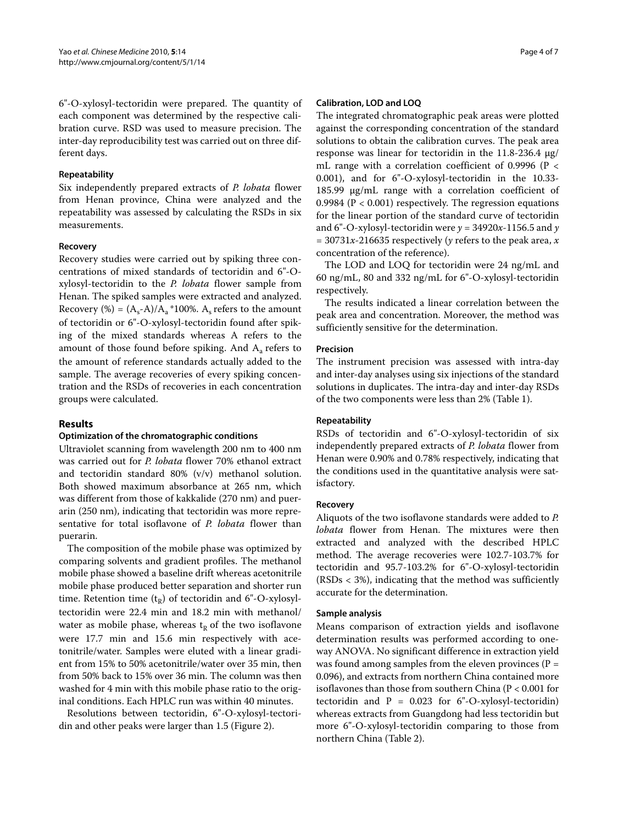6"-O-xylosyl-tectoridin were prepared. The quantity of each component was determined by the respective calibration curve. RSD was used to measure precision. The inter-day reproducibility test was carried out on three different days.

#### **Repeatability**

Six independently prepared extracts of *P. lobata* flower from Henan province, China were analyzed and the repeatability was assessed by calculating the RSDs in six measurements.

#### **Recovery**

Recovery studies were carried out by spiking three concentrations of mixed standards of tectoridin and 6"-Oxylosyl-tectoridin to the *P. lobata* flower sample from Henan. The spiked samples were extracted and analyzed. Recovery (%) =  $(A_s-A)/A_a$  \*100%. A<sub>s</sub> refers to the amount of tectoridin or 6"-O-xylosyl-tectoridin found after spiking of the mixed standards whereas A refers to the amount of those found before spiking. And A<sub>a</sub> refers to the amount of reference standards actually added to the sample. The average recoveries of every spiking concentration and the RSDs of recoveries in each concentration groups were calculated.

#### **Results**

#### **Optimization of the chromatographic conditions**

Ultraviolet scanning from wavelength 200 nm to 400 nm was carried out for *P. lobata* flower 70% ethanol extract and tectoridin standard 80% (v/v) methanol solution. Both showed maximum absorbance at 265 nm, which was different from those of kakkalide (270 nm) and puerarin (250 nm), indicating that tectoridin was more representative for total isoflavone of *P. lobata* flower than puerarin.

The composition of the mobile phase was optimized by comparing solvents and gradient profiles. The methanol mobile phase showed a baseline drift whereas acetonitrile mobile phase produced better separation and shorter run time. Retention time  $(t_R)$  of tectoridin and 6"-O-xylosyltectoridin were 22.4 min and 18.2 min with methanol/ water as mobile phase, whereas  $t_R$  of the two isoflavone were 17.7 min and 15.6 min respectively with acetonitrile/water. Samples were eluted with a linear gradient from 15% to 50% acetonitrile/water over 35 min, then from 50% back to 15% over 36 min. The column was then washed for 4 min with this mobile phase ratio to the original conditions. Each HPLC run was within 40 minutes.

Resolutions between tectoridin, 6"-O-xylosyl-tectoridin and other peaks were larger than 1.5 (Figure [2\)](#page-4-0).

#### **Calibration, LOD and LOQ**

The integrated chromatographic peak areas were plotted against the corresponding concentration of the standard solutions to obtain the calibration curves. The peak area response was linear for tectoridin in the 11.8-236.4 μg/ mL range with a correlation coefficient of 0.9996 (P < 0.001), and for 6"-O-xylosyl-tectoridin in the 10.33- 185.99 μg/mL range with a correlation coefficient of 0.9984 ( $P < 0.001$ ) respectively. The regression equations for the linear portion of the standard curve of tectoridin and 6"-O-xylosyl-tectoridin were  $y = 34920x - 1156.5$  and  $y$  $= 30731x-216635$  respectively (*y* refers to the peak area, *x* concentration of the reference).

The LOD and LOQ for tectoridin were 24 ng/mL and 60 ng/mL, 80 and 332 ng/mL for 6"-O-xylosyl-tectoridin respectively.

The results indicated a linear correlation between the peak area and concentration. Moreover, the method was sufficiently sensitive for the determination.

#### **Precision**

The instrument precision was assessed with intra-day and inter-day analyses using six injections of the standard solutions in duplicates. The intra-day and inter-day RSDs of the two components were less than 2% (Table 1).

#### **Repeatability**

RSDs of tectoridin and 6"-O-xylosyl-tectoridin of six independently prepared extracts of *P. lobata* flower from Henan were 0.90% and 0.78% respectively, indicating that the conditions used in the quantitative analysis were satisfactory.

#### **Recovery**

Aliquots of the two isoflavone standards were added to *P. lobata* flower from Henan. The mixtures were then extracted and analyzed with the described HPLC method. The average recoveries were 102.7-103.7% for tectoridin and 95.7-103.2% for 6"-O-xylosyl-tectoridin  $(RSDs < 3%)$ , indicating that the method was sufficiently accurate for the determination.

#### **Sample analysis**

Means comparison of extraction yields and isoflavone determination results was performed according to oneway ANOVA. No significant difference in extraction yield was found among samples from the eleven provinces ( $P =$ 0.096), and extracts from northern China contained more isoflavones than those from southern China (P < 0.001 for tectoridin and  $P = 0.023$  for 6"-O-xylosyl-tectoridin) whereas extracts from Guangdong had less tectoridin but more 6"-O-xylosyl-tectoridin comparing to those from northern China (Table 2).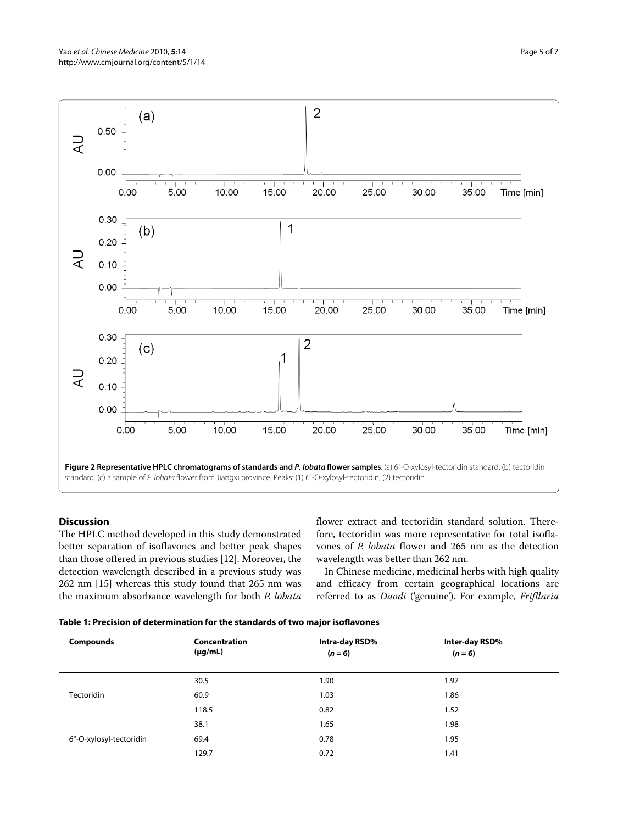<span id="page-4-0"></span>

# **Discussion**

The HPLC method developed in this study demonstrated better separation of isoflavones and better peak shapes than those offered in previous studies [[12](#page-6-5)]. Moreover, the detection wavelength described in a previous study was 262 nm [\[15\]](#page-6-9) whereas this study found that 265 nm was the maximum absorbance wavelength for both *P. lobata*

flower extract and tectoridin standard solution. Therefore, tectoridin was more representative for total isoflavones of *P. lobata* flower and 265 nm as the detection wavelength was better than 262 nm.

In Chinese medicine, medicinal herbs with high quality and efficacy from certain geographical locations are referred to as *Daodi* ('genuine'). For example, *Frifllaria*

| Table 1: Precision of determination for the standards of two major isoflavones |  |
|--------------------------------------------------------------------------------|--|
|--------------------------------------------------------------------------------|--|

| <b>Compounds</b>        | Concentration<br>$(\mu g/mL)$ | Intra-day RSD%<br>$(n = 6)$ | Inter-day RSD%<br>$(n = 6)$ |  |
|-------------------------|-------------------------------|-----------------------------|-----------------------------|--|
| <b>Tectoridin</b>       | 30.5                          | 1.90                        | 1.97                        |  |
|                         | 60.9                          | 1.03                        | 1.86                        |  |
|                         | 118.5                         | 0.82                        | 1.52                        |  |
| 6"-O-xylosyl-tectoridin | 38.1                          | 1.65                        | 1.98                        |  |
|                         | 69.4                          | 0.78                        | 1.95                        |  |
|                         | 129.7                         | 0.72                        | 1.41                        |  |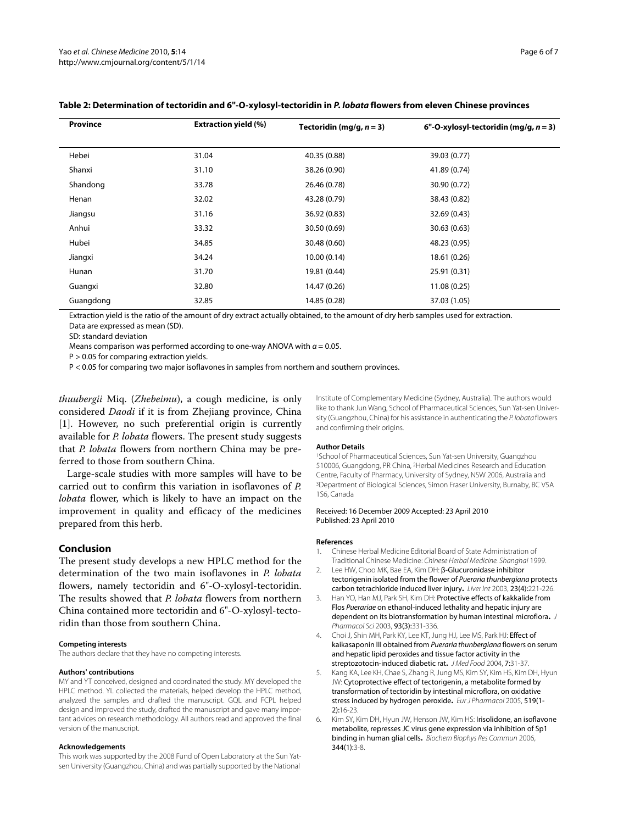| <b>Province</b>                | <b>Extraction yield (%)</b> | Tectoridin (mg/g, $n = 3$ ) | 6"-O-xylosyl-tectoridin (mg/g, $n = 3$ ) |
|--------------------------------|-----------------------------|-----------------------------|------------------------------------------|
| Hebei                          | 31.04                       | 40.35 (0.88)                | 39.03 (0.77)                             |
| Shanxi                         | 31.10                       | 38.26 (0.90)                | 41.89 (0.74)                             |
| Shandong                       | 33.78                       | 26.46 (0.78)                | 30.90 (0.72)                             |
| Henan                          | 32.02                       | 43.28 (0.79)                | 38.43 (0.82)                             |
| Jiangsu                        | 31.16                       | 36.92 (0.83)                | 32.69 (0.43)                             |
| Anhui                          | 33.32                       | 30.50 (0.69)                | 30.63 (0.63)                             |
| Hubei                          | 34.85                       | 30.48 (0.60)                | 48.23 (0.95)                             |
| Jiangxi                        | 34.24                       | 10.00(0.14)                 | 18.61 (0.26)                             |
| Hunan                          | 31.70                       | 19.81 (0.44)                | 25.91 (0.31)                             |
| Guangxi                        | 32.80                       | 14.47 (0.26)                | 11.08 (0.25)                             |
| Guangdong                      | 32.85                       | 14.85 (0.28)                | 37.03 (1.05)                             |
| $\sim$ $\sim$ $\sim$<br>$\sim$ | $\sim$                      | .                           | $\overline{a}$                           |

# **Table 2: Determination of tectoridin and 6"-O-xylosyl-tectoridin in P. lobata flowers from eleven Chinese provinces**

Extraction yield is the ratio of the amount of dry extract actually obtained, to the amount of dry herb samples used for extraction. Data are expressed as mean (SD).

SD: standard deviation

Means comparison was performed according to one-way ANOVA with  $a = 0.05$ .

P > 0.05 for comparing extraction yields.

P < 0.05 for comparing two major isoflavones in samples from northern and southern provinces.

*thuubergii* Miq. (*Zhebeimu*), a cough medicine, is only considered *Daodi* if it is from Zhejiang province, China [[1\]](#page-5-0). However, no such preferential origin is currently available for *P. lobata* flowers. The present study suggests that *P. lobata* flowers from northern China may be preferred to those from southern China.

Large-scale studies with more samples will have to be carried out to confirm this variation in isoflavones of *P. lobata* flower, which is likely to have an impact on the improvement in quality and efficacy of the medicines prepared from this herb.

#### **Conclusion**

The present study develops a new HPLC method for the determination of the two main isoflavones in *P. lobata* flowers, namely tectoridin and 6"-O-xylosyl-tectoridin. The results showed that *P. lobata* flowers from northern China contained more tectoridin and 6"-O-xylosyl-tectoridin than those from southern China.

#### **Competing interests**

The authors declare that they have no competing interests.

#### **Authors' contributions**

MY and YT conceived, designed and coordinated the study. MY developed the HPLC method. YL collected the materials, helped develop the HPLC method, analyzed the samples and drafted the manuscript. GQL and FCPL helped design and improved the study, drafted the manuscript and gave many important advices on research methodology. All authors read and approved the final version of the manuscript.

#### **Acknowledgements**

This work was supported by the 2008 Fund of Open Laboratory at the Sun Yatsen University (Guangzhou, China) and was partially supported by the National

Institute of Complementary Medicine (Sydney, Australia). The authors would like to thank Jun Wang, School of Pharmaceutical Sciences, Sun Yat-sen University (Guangzhou, China) for his assistance in authenticating the P. lobata flowers and confirming their origins.

#### **Author Details**

1School of Pharmaceutical Sciences, Sun Yat-sen University, Guangzhou 510006, Guangdong, PR China, 2Herbal Medicines Research and Education Centre, Faculty of Pharmacy, University of Sydney, NSW 2006, Australia and 3Department of Biological Sciences, Simon Fraser University, Burnaby, BC V5A 1S6, Canada

#### Received: 16 December 2009 Accepted: 23 April 2010 Published: 23 April 2010

#### **References**

- <span id="page-5-0"></span>1. Chinese Herbal Medicine Editorial Board of State Administration of Traditional Chinese Medicine: Chinese Herbal Medicine. Shanghai 1999.
- <span id="page-5-1"></span>2. Lee HW, Choo MK, Bae EA, Kim DH: β-Glucuronidase inhibitor tectorigenin isolated from the flower of Pueraria thunbergiana protects carbon tetrachloride induced liver injury**.** Liver Int 2003, 23(4):221-226.
- <span id="page-5-2"></span>3. Han YO, Han MJ, Park SH, Kim DH: Protective effects of kakkalide from Flos Puerariae on ethanol-induced lethality and hepatic injury are dependent on its biotransformation by human intestinal microflora**.** J Pharmacol Sci 2003, 93(3):331-336.
- <span id="page-5-3"></span>4. Choi J, Shin MH, Park KY, Lee KT, Jung HJ, Lee MS, Park HJ: Effect of kaikasaponin III obtained from Pueraria thunbergiana flowers on serum and hepatic lipid peroxides and tissue factor activity in the streptozotocin-induced diabetic rat**.** J Med Food 2004, 7:31-37.
- <span id="page-5-4"></span>5. Kang KA, Lee KH, Chae S, Zhang R, Jung MS, Kim SY, Kim HS, Kim DH, Hyun JW: Cytoprotective effect of tectorigenin, a metabolite formed by transformation of tectoridin by intestinal microflora, on oxidative stress induced by hydrogen peroxide**.** Eur J Pharmacol 2005, 519(1- 2):16-23.
- <span id="page-5-5"></span>Kim SY, Kim DH, Hyun JW, Henson JW, Kim HS: Irisolidone, an isoflavone metabolite, represses JC virus gene expression via inhibition of Sp1 binding in human glial cells**[.](http://www.ncbi.nlm.nih.gov/entrez/query.fcgi?cmd=Retrieve&db=PubMed&dopt=Abstract&list_uids=16630573)** Biochem Biophys Res Commun 2006, 344(1):3-8.